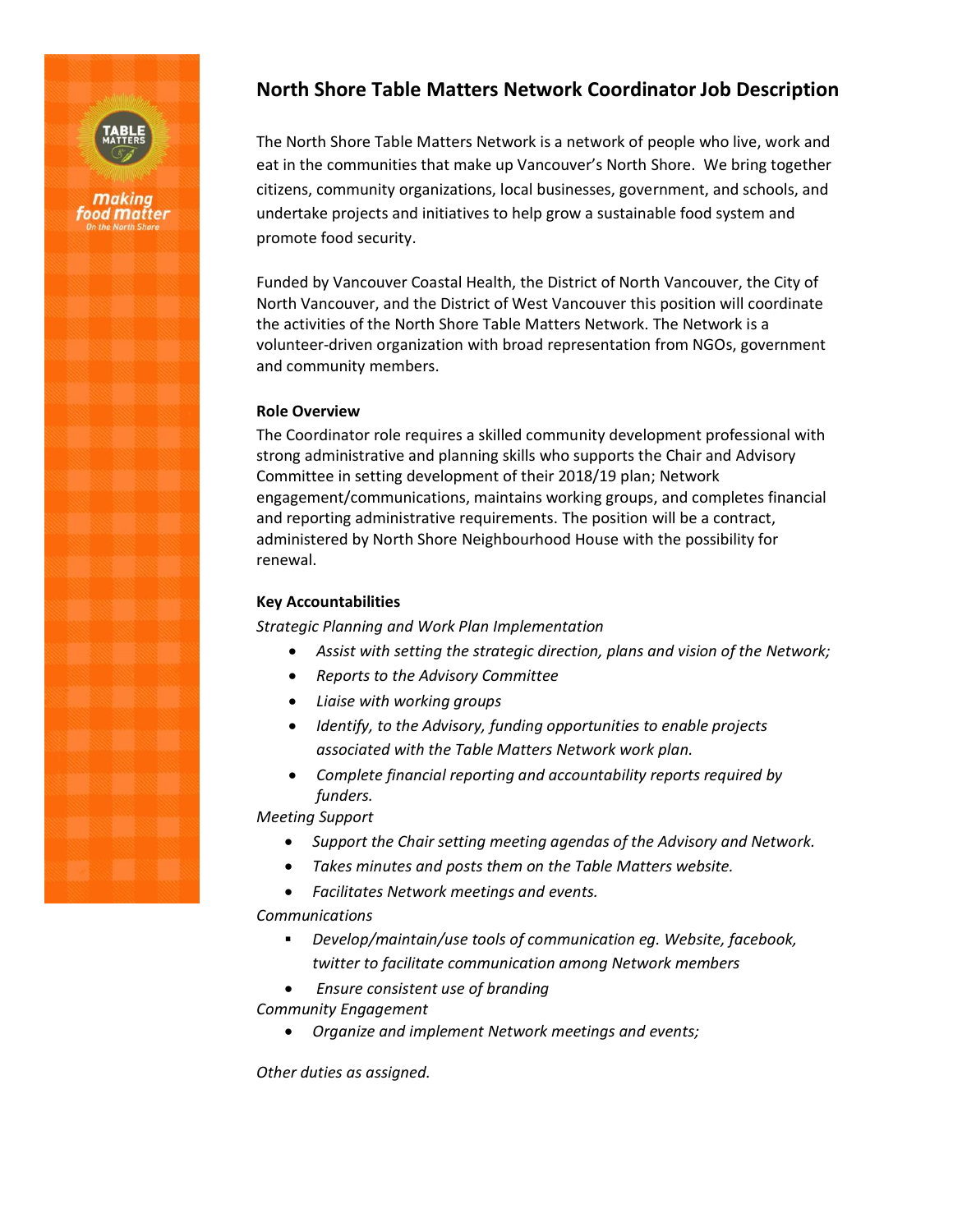

# **North Shore Table Matters Network Coordinator Job Description**

The North Shore Table Matters Network is a network of people who live, work and eat in the communities that make up Vancouver's North Shore. We bring together citizens, community organizations, local businesses, government, and schools, and undertake projects and initiatives to help grow a sustainable food system and promote food security.

Funded by Vancouver Coastal Health, the District of North Vancouver, the City of North Vancouver, and the District of West Vancouver this position will coordinate the activities of the North Shore Table Matters Network. The Network is a volunteer-driven organization with broad representation from NGOs, government and community members.

### **Role Overview**

The Coordinator role requires a skilled community development professional with strong administrative and planning skills who supports the Chair and Advisory Committee in setting development of their 2018/19 plan; Network engagement/communications, maintains working groups, and completes financial and reporting administrative requirements. The position will be a contract, administered by North Shore Neighbourhood House with the possibility for renewal.

## **Key Accountabilities**

*Strategic Planning and Work Plan Implementation*

- *Assist with setting the strategic direction, plans and vision of the Network;*
- *Reports to the Advisory Committee*
- *Liaise with working groups*
- *Identify, to the Advisory, funding opportunities to enable projects associated with the Table Matters Network work plan.*
- *Complete financial reporting and accountability reports required by funders.*

*Meeting Support*

- *Support the Chair setting meeting agendas of the Advisory and Network.*
- *Takes minutes and posts them on the Table Matters website.*
- *Facilitates Network meetings and events.*

*Communications*

- *Develop/maintain/use tools of communication eg. Website, facebook, twitter to facilitate communication among Network members*
- *Ensure consistent use of branding*

*Community Engagement*

• *Organize and implement Network meetings and events;*

*Other duties as assigned.*